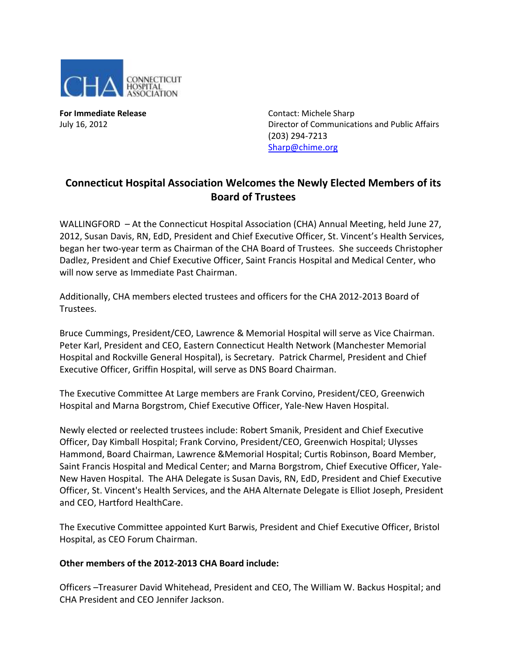

**For Immediate Release Contact: Michele Sharp** July 16, 2012 Director of Communications and Public Affairs (203) 294-7213 [Sharp@chime.org](mailto:Sharp@chime.org)

## **Connecticut Hospital Association Welcomes the Newly Elected Members of its Board of Trustees**

WALLINGFORD – At the Connecticut Hospital Association (CHA) Annual Meeting, held June 27, 2012, Susan Davis, RN, EdD, President and Chief Executive Officer, St. Vincent's Health Services, began her two-year term as Chairman of the CHA Board of Trustees. She succeeds Christopher Dadlez, President and Chief Executive Officer, Saint Francis Hospital and Medical Center, who will now serve as Immediate Past Chairman.

Additionally, CHA members elected trustees and officers for the CHA 2012-2013 Board of Trustees.

Bruce Cummings, President/CEO, Lawrence & Memorial Hospital will serve as Vice Chairman. Peter Karl, President and CEO, Eastern Connecticut Health Network (Manchester Memorial Hospital and Rockville General Hospital), is Secretary. Patrick Charmel, President and Chief Executive Officer, Griffin Hospital, will serve as DNS Board Chairman.

The Executive Committee At Large members are Frank Corvino, President/CEO, Greenwich Hospital and Marna Borgstrom, Chief Executive Officer, Yale-New Haven Hospital.

Newly elected or reelected trustees include: Robert Smanik, President and Chief Executive Officer, Day Kimball Hospital; Frank Corvino, President/CEO, Greenwich Hospital; Ulysses Hammond, Board Chairman, Lawrence &Memorial Hospital; Curtis Robinson, Board Member, Saint Francis Hospital and Medical Center; and Marna Borgstrom, Chief Executive Officer, Yale-New Haven Hospital. The AHA Delegate is Susan Davis, RN, EdD, President and Chief Executive Officer, St. Vincent's Health Services, and the AHA Alternate Delegate is Elliot Joseph, President and CEO, Hartford HealthCare.

The Executive Committee appointed Kurt Barwis, President and Chief Executive Officer, Bristol Hospital, as CEO Forum Chairman.

## **Other members of the 2012-2013 CHA Board include:**

Officers –Treasurer David Whitehead, President and CEO, The William W. Backus Hospital; and CHA President and CEO Jennifer Jackson.